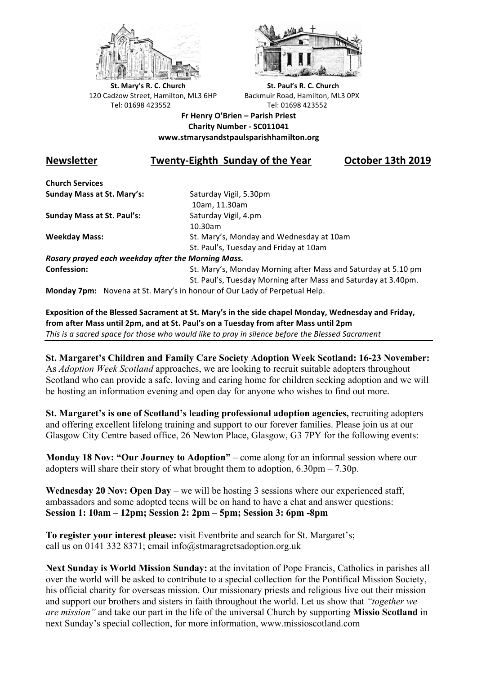



**St.** Mary's R. C. Church St. Paul's R. C. Church 120 Cadzow Street, Hamilton, ML3 6HP Backmuir Road, Hamilton, ML3 0PX Tel: 01698 423552 Tel: 01698 423552

**Fr Henry O'Brien – Parish Priest Charity Number - SC011041 www.stmarysandstpaulsparishhamilton.org**

# **Newsletter Twenty-Eighth Sunday of the Year October 13th 2019**

**Church Services Sunday Mass at St. Mary's:** Saturday Vigil, 5.30pm

**Sunday Mass at St. Paul's:** Saturday Vigil, 4.pm

 10am, 11.30am 10.30am **Weekday Mass:** St. Mary's, Monday and Wednesday at 10am St. Paul's, Tuesday and Friday at 10am

*Rosary prayed each weekday after the Morning Mass.* **Confession:** St. Mary's, Monday Morning after Mass and Saturday at 5.10 pm

St. Paul's, Tuesday Morning after Mass and Saturday at 3.40pm.

**Monday 7pm:** Novena at St. Mary's in honour of Our Lady of Perpetual Help.

**Exposition of the Blessed Sacrament at St. Mary's in the side chapel Monday, Wednesday and Friday,** from after Mass until 2pm, and at St. Paul's on a Tuesday from after Mass until 2pm This is a sacred space for those who would like to pray in silence before the Blessed Sacrament

**St. Margaret's Children and Family Care Society Adoption Week Scotland: 16-23 November:** As *Adoption Week Scotland* approaches, we are looking to recruit suitable adopters throughout Scotland who can provide a safe, loving and caring home for children seeking adoption and we will be hosting an information evening and open day for anyone who wishes to find out more.

**St. Margaret's is one of Scotland's leading professional adoption agencies,** recruiting adopters and offering excellent lifelong training and support to our forever families. Please join us at our Glasgow City Centre based office, 26 Newton Place, Glasgow, G3 7PY for the following events:

**Monday 18 Nov: "Our Journey to Adoption"** – come along for an informal session where our adopters will share their story of what brought them to adoption,  $6.30 \text{pm} - 7.30 \text{p}$ .

**Wednesday 20 Nov: Open Day** – we will be hosting 3 sessions where our experienced staff, ambassadors and some adopted teens will be on hand to have a chat and answer questions: **Session 1: 10am – 12pm; Session 2: 2pm – 5pm; Session 3: 6pm -8pm**

**To register your interest please:** visit Eventbrite and search for St. Margaret's; call us on 0141 332 8371; email info@stmaragretsadoption.org.uk

**Next Sunday is World Mission Sunday:** at the invitation of Pope Francis, Catholics in parishes all over the world will be asked to contribute to a special collection for the Pontifical Mission Society, his official charity for overseas mission. Our missionary priests and religious live out their mission and support our brothers and sisters in faith throughout the world. Let us show that *"together we are mission"* and take our part in the life of the universal Church by supporting **Missio Scotland** in next Sunday's special collection, for more information, www.missioscotland.com